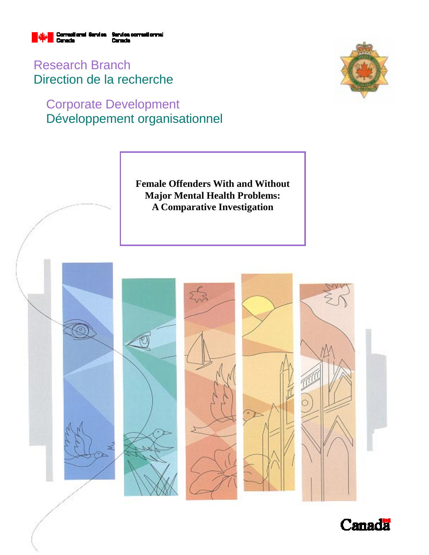

Research Branch Direction de la recherche

# Corporate Development Développement organisationnel



**Female Offenders With and Without Major Mental Health Problems: A Comparative Investigation** 



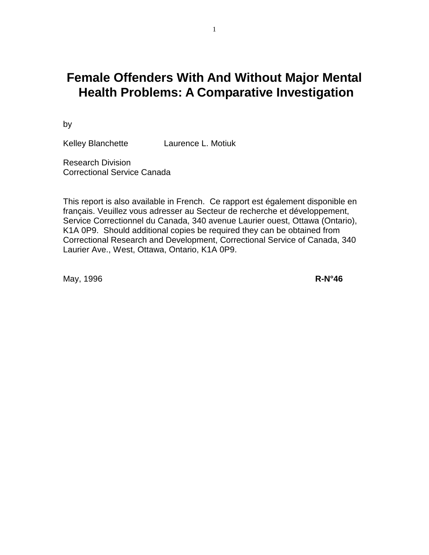# **Female Offenders With And Without Major Mental Health Problems: A Comparative Investigation**

by

Kelley Blanchette Laurence L. Motiuk

Research Division Correctional Service Canada

This report is also available in French. Ce rapport est également disponible en français. Veuillez vous adresser au Secteur de recherche et développement, Service Correctionnel du Canada, 340 avenue Laurier ouest, Ottawa (Ontario), K1A 0P9. Should additional copies be required they can be obtained from Correctional Research and Development, Correctional Service of Canada, 340 Laurier Ave., West, Ottawa, Ontario, K1A 0P9.

May, 1996 **R-N°46**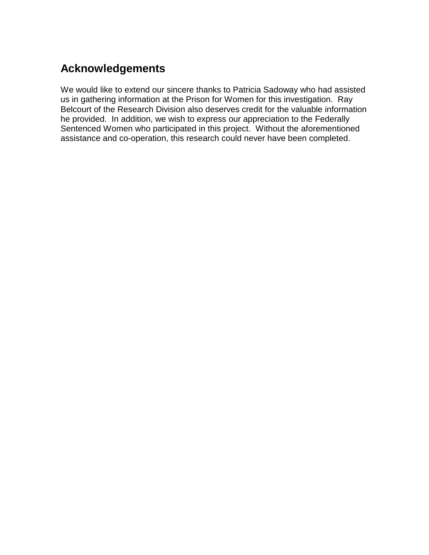# **Acknowledgements**

We would like to extend our sincere thanks to Patricia Sadoway who had assisted us in gathering information at the Prison for Women for this investigation. Ray Belcourt of the Research Division also deserves credit for the valuable information he provided. In addition, we wish to express our appreciation to the Federally Sentenced Women who participated in this project. Without the aforementioned assistance and co-operation, this research could never have been completed.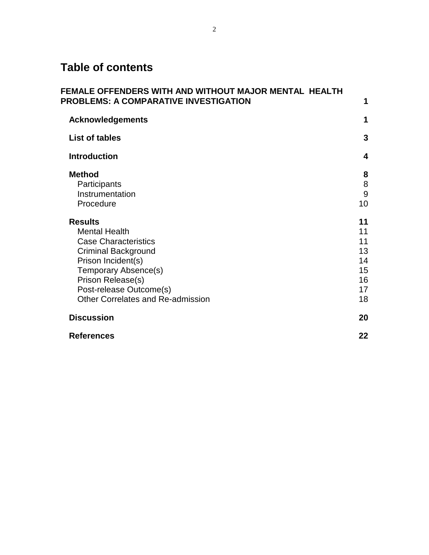# **Table of contents**

| FEMALE OFFENDERS WITH AND WITHOUT MAJOR MENTAL  HEALTH<br><b>PROBLEMS: A COMPARATIVE INVESTIGATION</b>                                                                                                                                        | 1                                                  |
|-----------------------------------------------------------------------------------------------------------------------------------------------------------------------------------------------------------------------------------------------|----------------------------------------------------|
| <b>Acknowledgements</b>                                                                                                                                                                                                                       | 1                                                  |
| <b>List of tables</b>                                                                                                                                                                                                                         | 3                                                  |
| <b>Introduction</b>                                                                                                                                                                                                                           | $\overline{\mathbf{4}}$                            |
| <b>Method</b><br>Participants<br>Instrumentation<br>Procedure                                                                                                                                                                                 | 8<br>8<br>$\overline{9}$<br>10                     |
| <b>Results</b><br><b>Mental Health</b><br><b>Case Characteristics</b><br><b>Criminal Background</b><br>Prison Incident(s)<br>Temporary Absence(s)<br>Prison Release(s)<br>Post-release Outcome(s)<br><b>Other Correlates and Re-admission</b> | 11<br>11<br>11<br>13<br>14<br>15<br>16<br>17<br>18 |
| <b>Discussion</b>                                                                                                                                                                                                                             | 20                                                 |
| <b>References</b>                                                                                                                                                                                                                             | 22                                                 |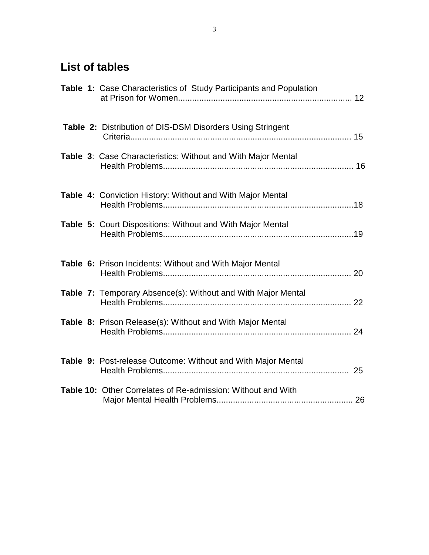# **List of tables**

|  | Table 1: Case Characteristics of Study Participants and Population |  |
|--|--------------------------------------------------------------------|--|
|  | Table 2: Distribution of DIS-DSM Disorders Using Stringent         |  |
|  | Table 3: Case Characteristics: Without and With Major Mental       |  |
|  | <b>Table 4: Conviction History: Without and With Major Mental</b>  |  |
|  | Table 5: Court Dispositions: Without and With Major Mental         |  |
|  | Table 6: Prison Incidents: Without and With Major Mental           |  |
|  | Table 7: Temporary Absence(s): Without and With Major Mental       |  |
|  | Table 8: Prison Release(s): Without and With Major Mental          |  |
|  | Table 9: Post-release Outcome: Without and With Major Mental       |  |
|  | Table 10: Other Correlates of Re-admission: Without and With       |  |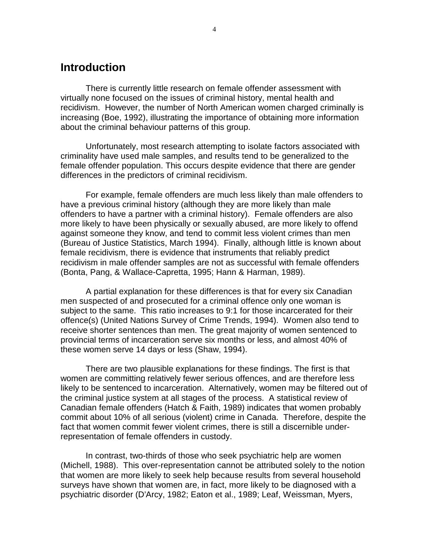## **Introduction**

There is currently little research on female offender assessment with virtually none focused on the issues of criminal history, mental health and recidivism. However, the number of North American women charged criminally is increasing (Boe, 1992), illustrating the importance of obtaining more information about the criminal behaviour patterns of this group.

Unfortunately, most research attempting to isolate factors associated with criminality have used male samples, and results tend to be generalized to the female offender population. This occurs despite evidence that there are gender differences in the predictors of criminal recidivism.

For example, female offenders are much less likely than male offenders to have a previous criminal history (although they are more likely than male offenders to have a partner with a criminal history). Female offenders are also more likely to have been physically or sexually abused, are more likely to offend against someone they know, and tend to commit less violent crimes than men (Bureau of Justice Statistics, March 1994). Finally, although little is known about female recidivism, there is evidence that instruments that reliably predict recidivism in male offender samples are not as successful with female offenders (Bonta, Pang, & Wallace-Capretta, 1995; Hann & Harman, 1989).

A partial explanation for these differences is that for every six Canadian men suspected of and prosecuted for a criminal offence only one woman is subject to the same. This ratio increases to 9:1 for those incarcerated for their offence(s) (United Nations Survey of Crime Trends, 1994). Women also tend to receive shorter sentences than men. The great majority of women sentenced to provincial terms of incarceration serve six months or less, and almost 40% of these women serve 14 days or less (Shaw, 1994).

There are two plausible explanations for these findings. The first is that women are committing relatively fewer serious offences, and are therefore less likely to be sentenced to incarceration. Alternatively, women may be filtered out of the criminal justice system at all stages of the process. A statistical review of Canadian female offenders (Hatch & Faith, 1989) indicates that women probably commit about 10% of all serious (violent) crime in Canada. Therefore, despite the fact that women commit fewer violent crimes, there is still a discernible underrepresentation of female offenders in custody.

In contrast, two-thirds of those who seek psychiatric help are women (Michell, 1988). This over-representation cannot be attributed solely to the notion that women are more likely to seek help because results from several household surveys have shown that women are, in fact, more likely to be diagnosed with a psychiatric disorder (D'Arcy, 1982; Eaton et al., 1989; Leaf, Weissman, Myers,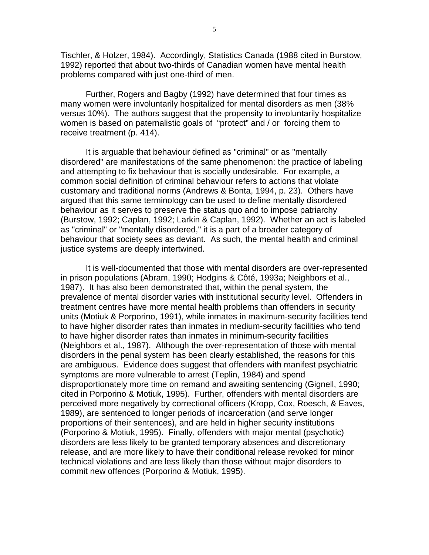Tischler, & Holzer, 1984). Accordingly, Statistics Canada (1988 cited in Burstow, 1992) reported that about two-thirds of Canadian women have mental health problems compared with just one-third of men.

Further, Rogers and Bagby (1992) have determined that four times as many women were involuntarily hospitalized for mental disorders as men (38% versus 10%). The authors suggest that the propensity to involuntarily hospitalize women is based on paternalistic goals of "protect" and / or forcing them to receive treatment (p. 414).

It is arguable that behaviour defined as "criminal" or as "mentally disordered" are manifestations of the same phenomenon: the practice of labeling and attempting to fix behaviour that is socially undesirable. For example, a common social definition of criminal behaviour refers to actions that violate customary and traditional norms (Andrews & Bonta, 1994, p. 23). Others have argued that this same terminology can be used to define mentally disordered behaviour as it serves to preserve the status quo and to impose patriarchy (Burstow, 1992; Caplan, 1992; Larkin & Caplan, 1992). Whether an act is labeled as "criminal" or "mentally disordered," it is a part of a broader category of behaviour that society sees as deviant. As such, the mental health and criminal justice systems are deeply intertwined.

It is well-documented that those with mental disorders are over-represented in prison populations (Abram, 1990; Hodgins & Côté, 1993a; Neighbors et al., 1987). It has also been demonstrated that, within the penal system, the prevalence of mental disorder varies with institutional security level. Offenders in treatment centres have more mental health problems than offenders in security units (Motiuk & Porporino, 1991), while inmates in maximum-security facilities tend to have higher disorder rates than inmates in medium-security facilities who tend to have higher disorder rates than inmates in minimum-security facilities (Neighbors et al., 1987). Although the over-representation of those with mental disorders in the penal system has been clearly established, the reasons for this are ambiguous. Evidence does suggest that offenders with manifest psychiatric symptoms are more vulnerable to arrest (Teplin, 1984) and spend disproportionately more time on remand and awaiting sentencing (Gignell, 1990; cited in Porporino & Motiuk, 1995). Further, offenders with mental disorders are perceived more negatively by correctional officers (Kropp, Cox, Roesch, & Eaves, 1989), are sentenced to longer periods of incarceration (and serve longer proportions of their sentences), and are held in higher security institutions (Porporino & Motiuk, 1995). Finally, offenders with major mental (psychotic) disorders are less likely to be granted temporary absences and discretionary release, and are more likely to have their conditional release revoked for minor technical violations and are less likely than those without major disorders to commit new offences (Porporino & Motiuk, 1995).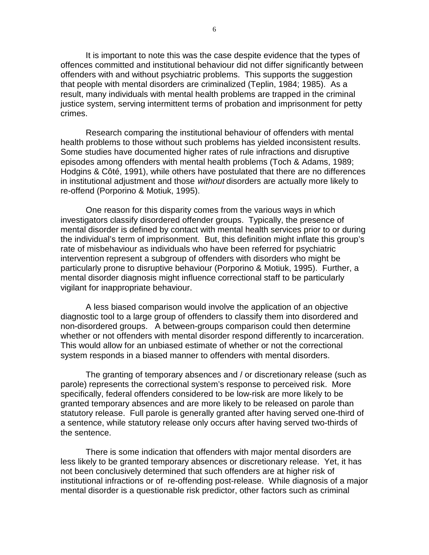It is important to note this was the case despite evidence that the types of offences committed and institutional behaviour did not differ significantly between offenders with and without psychiatric problems. This supports the suggestion that people with mental disorders are criminalized (Teplin, 1984; 1985). As a result, many individuals with mental health problems are trapped in the criminal justice system, serving intermittent terms of probation and imprisonment for petty crimes.

Research comparing the institutional behaviour of offenders with mental health problems to those without such problems has yielded inconsistent results. Some studies have documented higher rates of rule infractions and disruptive episodes among offenders with mental health problems (Toch & Adams, 1989; Hodgins & Côté, 1991), while others have postulated that there are no differences in institutional adjustment and those without disorders are actually more likely to re-offend (Porporino & Motiuk, 1995).

One reason for this disparity comes from the various ways in which investigators classify disordered offender groups. Typically, the presence of mental disorder is defined by contact with mental health services prior to or during the individual's term of imprisonment. But, this definition might inflate this group's rate of misbehaviour as individuals who have been referred for psychiatric intervention represent a subgroup of offenders with disorders who might be particularly prone to disruptive behaviour (Porporino & Motiuk, 1995). Further, a mental disorder diagnosis might influence correctional staff to be particularly vigilant for inappropriate behaviour.

A less biased comparison would involve the application of an objective diagnostic tool to a large group of offenders to classify them into disordered and non-disordered groups. A between-groups comparison could then determine whether or not offenders with mental disorder respond differently to incarceration. This would allow for an unbiased estimate of whether or not the correctional system responds in a biased manner to offenders with mental disorders.

The granting of temporary absences and / or discretionary release (such as parole) represents the correctional system's response to perceived risk. More specifically, federal offenders considered to be low-risk are more likely to be granted temporary absences and are more likely to be released on parole than statutory release. Full parole is generally granted after having served one-third of a sentence, while statutory release only occurs after having served two-thirds of the sentence.

There is some indication that offenders with major mental disorders are less likely to be granted temporary absences or discretionary release. Yet, it has not been conclusively determined that such offenders are at higher risk of institutional infractions or of re-offending post-release. While diagnosis of a major mental disorder is a questionable risk predictor, other factors such as criminal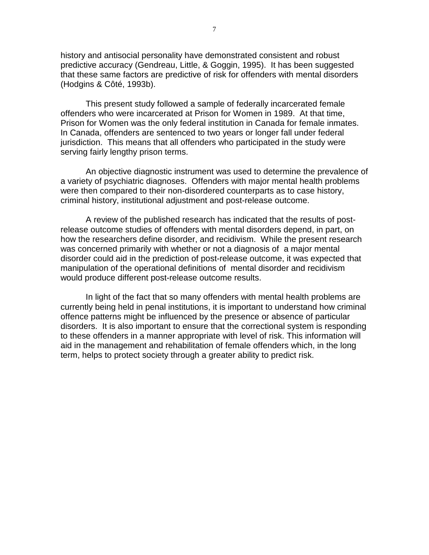history and antisocial personality have demonstrated consistent and robust predictive accuracy (Gendreau, Little, & Goggin, 1995). It has been suggested that these same factors are predictive of risk for offenders with mental disorders (Hodgins & Côté, 1993b).

This present study followed a sample of federally incarcerated female offenders who were incarcerated at Prison for Women in 1989. At that time, Prison for Women was the only federal institution in Canada for female inmates. In Canada, offenders are sentenced to two years or longer fall under federal jurisdiction. This means that all offenders who participated in the study were serving fairly lengthy prison terms.

An objective diagnostic instrument was used to determine the prevalence of a variety of psychiatric diagnoses. Offenders with major mental health problems were then compared to their non-disordered counterparts as to case history, criminal history, institutional adjustment and post-release outcome.

A review of the published research has indicated that the results of postrelease outcome studies of offenders with mental disorders depend, in part, on how the researchers define disorder, and recidivism. While the present research was concerned primarily with whether or not a diagnosis of a major mental disorder could aid in the prediction of post-release outcome, it was expected that manipulation of the operational definitions of mental disorder and recidivism would produce different post-release outcome results.

In light of the fact that so many offenders with mental health problems are currently being held in penal institutions, it is important to understand how criminal offence patterns might be influenced by the presence or absence of particular disorders. It is also important to ensure that the correctional system is responding to these offenders in a manner appropriate with level of risk. This information will aid in the management and rehabilitation of female offenders which, in the long term, helps to protect society through a greater ability to predict risk.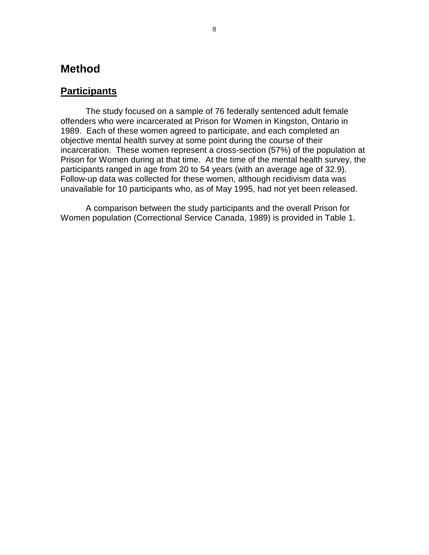# **Method**

### **Participants**

The study focused on a sample of 76 federally sentenced adult female offenders who were incarcerated at Prison for Women in Kingston, Ontario in 1989. Each of these women agreed to participate, and each completed an objective mental health survey at some point during the course of their incarceration. These women represent a cross-section (57%) of the population at Prison for Women during at that time. At the time of the mental health survey, the participants ranged in age from 20 to 54 years (with an average age of 32.9). Follow-up data was collected for these women, although recidivism data was unavailable for 10 participants who, as of May 1995, had not yet been released.

A comparison between the study participants and the overall Prison for Women population (Correctional Service Canada, 1989) is provided in Table 1.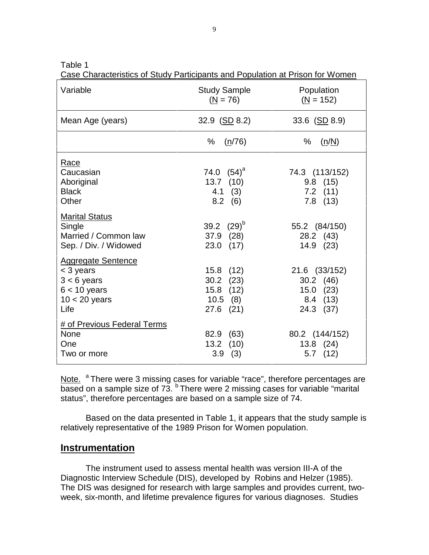Table 1

Case Characteristics of Study Participants and Population at Prison for Women

| Variable                                                                                             | <b>Study Sample</b><br>$(N = 76)$                                    | Population<br>$(N = 152)$                                              |
|------------------------------------------------------------------------------------------------------|----------------------------------------------------------------------|------------------------------------------------------------------------|
| Mean Age (years)                                                                                     | 32.9 $(SD 8.2)$                                                      | 33.6 $(SD 8.9)$                                                        |
|                                                                                                      | %<br>(n/76)                                                          | $\%$<br>(n/N)                                                          |
| Race<br>Caucasian<br>Aboriginal<br><b>Black</b><br>Other                                             | 74.0 $(54)^a$<br>$13.7$ (10)<br>$4.1$ (3)<br>$8.2$ (6)               | 74.3 (113/152)<br>$9.8$ (15)<br>$7.2$ (11)<br>$7.8$ (13)               |
| <b>Marital Status</b><br>Single<br>Married / Common law<br>Sep. / Div. / Widowed                     | 39.2 $(29)^{6}$<br>37.9 (28)<br>$23.0$ (17)                          | 55.2 (84/150)<br>28.2 (43)<br>14.9 (23)                                |
| <b>Aggregate Sentence</b><br>< 3 years<br>$3 < 6$ years<br>$6 < 10$ years<br>$10 < 20$ years<br>Life | 15.8 (12)<br>$30.2$ $(23)$<br>15.8 (12)<br>$10.5$ (8)<br>$27.6$ (21) | 21.6 (33/152)<br>$30.2$ (46)<br>$15.0$ $(23)$<br>8.4 (13)<br>24.3 (37) |
| # of Previous Federal Terms<br><b>None</b><br>One<br>Two or more                                     | 82.9 (63)<br>$13.2$ (10)<br>(3)<br>3.9                               | 80.2 (144/152)<br>$13.8$ $(24)$<br>$5.7$ $(12)$                        |

Note. <sup>a</sup> There were 3 missing cases for variable "race", therefore percentages are  $\overline{\mathsf{based}}$  on a sample size of 73.  $^{\circ}$  There were 2 missing cases for variable "marital status", therefore percentages are based on a sample size of 74.

Based on the data presented in Table 1, it appears that the study sample is relatively representative of the 1989 Prison for Women population.

#### **Instrumentation**

The instrument used to assess mental health was version III-A of the Diagnostic Interview Schedule (DIS), developed by Robins and Helzer (1985). The DIS was designed for research with large samples and provides current, twoweek, six-month, and lifetime prevalence figures for various diagnoses. Studies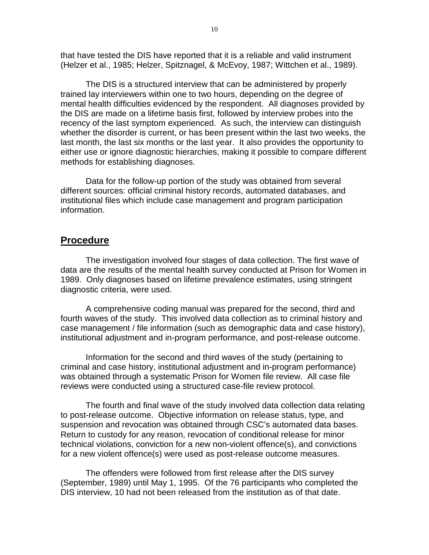that have tested the DIS have reported that it is a reliable and valid instrument (Helzer et al., 1985; Helzer, Spitznagel, & McEvoy, 1987; Wittchen et al., 1989).

The DIS is a structured interview that can be administered by properly trained lay interviewers within one to two hours, depending on the degree of mental health difficulties evidenced by the respondent. All diagnoses provided by the DIS are made on a lifetime basis first, followed by interview probes into the recency of the last symptom experienced. As such, the interview can distinguish whether the disorder is current, or has been present within the last two weeks, the last month, the last six months or the last year. It also provides the opportunity to either use or ignore diagnostic hierarchies, making it possible to compare different methods for establishing diagnoses.

Data for the follow-up portion of the study was obtained from several different sources: official criminal history records, automated databases, and institutional files which include case management and program participation information.

#### **Procedure**

The investigation involved four stages of data collection. The first wave of data are the results of the mental health survey conducted at Prison for Women in 1989. Only diagnoses based on lifetime prevalence estimates, using stringent diagnostic criteria, were used.

A comprehensive coding manual was prepared for the second, third and fourth waves of the study. This involved data collection as to criminal history and case management / file information (such as demographic data and case history), institutional adjustment and in-program performance, and post-release outcome.

Information for the second and third waves of the study (pertaining to criminal and case history, institutional adjustment and in-program performance) was obtained through a systematic Prison for Women file review. All case file reviews were conducted using a structured case-file review protocol.

The fourth and final wave of the study involved data collection data relating to post-release outcome. Objective information on release status, type, and suspension and revocation was obtained through CSC's automated data bases. Return to custody for any reason, revocation of conditional release for minor technical violations, conviction for a new non-violent offence(s), and convictions for a new violent offence(s) were used as post-release outcome measures.

The offenders were followed from first release after the DIS survey (September, 1989) until May 1, 1995. Of the 76 participants who completed the DIS interview, 10 had not been released from the institution as of that date.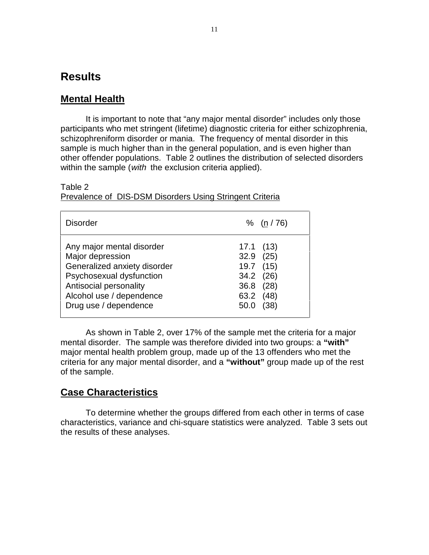# **Results**

### **Mental Health**

It is important to note that "any major mental disorder" includes only those participants who met stringent (lifetime) diagnostic criteria for either schizophrenia, schizophreniform disorder or mania. The frequency of mental disorder in this sample is much higher than in the general population, and is even higher than other offender populations. Table 2 outlines the distribution of selected disorders within the sample (with the exclusion criteria applied).

#### Table 2

Prevalence of DIS-DSM Disorders Using Stringent Criteria

| <b>Disorder</b>                                                                                                                                                                          | % (n / 76)                                                                                       |
|------------------------------------------------------------------------------------------------------------------------------------------------------------------------------------------|--------------------------------------------------------------------------------------------------|
| Any major mental disorder<br>Major depression<br>Generalized anxiety disorder<br>Psychosexual dysfunction<br>Antisocial personality<br>Alcohol use / dependence<br>Drug use / dependence | 17.1(13)<br>$32.9$ $(25)$<br>19.7 (15)<br>34.2 (26)<br>36.8 (28)<br>63.2<br>(48)<br>(38)<br>50.0 |

As shown in Table 2, over 17% of the sample met the criteria for a major mental disorder. The sample was therefore divided into two groups: a **"with"** major mental health problem group, made up of the 13 offenders who met the criteria for any major mental disorder, and a **"without"** group made up of the rest of the sample.

### **Case Characteristics**

To determine whether the groups differed from each other in terms of case characteristics, variance and chi-square statistics were analyzed. Table 3 sets out the results of these analyses.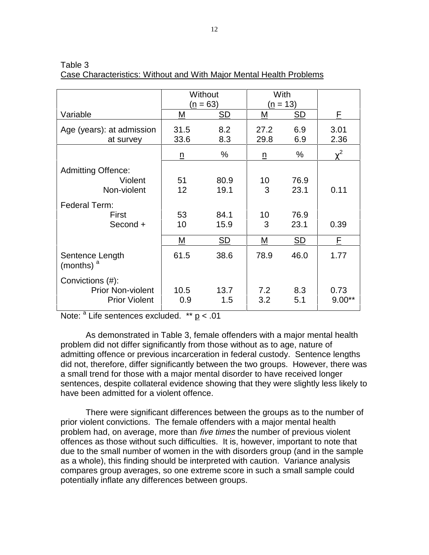|                                        | Without         |            | With         |            |              |
|----------------------------------------|-----------------|------------|--------------|------------|--------------|
|                                        |                 | $(n = 63)$ |              | $(n = 13)$ |              |
| Variable                               | Μ               | <b>SD</b>  | М            | <b>SD</b>  | F            |
| Age (years): at admission<br>at survey | 31.5<br>33.6    | 8.2<br>8.3 | 27.2<br>29.8 | 6.9<br>6.9 | 3.01<br>2.36 |
|                                        | $\underline{n}$ | %          | n            | $\%$       | $\gamma^2$   |
| <b>Admitting Offence:</b>              |                 |            |              |            |              |
| Violent                                | 51              | 80.9       | 10           | 76.9       |              |
| Non-violent                            | 12              | 19.1       | 3            | 23.1       | 0.11         |
| Federal Term:                          |                 |            |              |            |              |
| First                                  | 53              | 84.1       | 10           | 76.9       |              |
| Second +                               | 10              | 15.9       | 3            | 23.1       | 0.39         |
|                                        | M               | SD         | M            | SD         | F.           |
| Sentence Length<br>(months) $a$        | 61.5            | 38.6       | 78.9         | 46.0       | 1.77         |
| Convictions (#):                       |                 |            |              |            |              |
| <b>Prior Non-violent</b>               | 10.5            | 13.7       | 7.2          | 8.3        | 0.73         |
| <b>Prior Violent</b>                   | 0.9             | 1.5        | 3.2          | 5.1        | $9.00**$     |

| Table 3                                                             |  |
|---------------------------------------------------------------------|--|
| Case Characteristics: Without and With Major Mental Health Problems |  |

Note: <sup>a</sup> Life sentences excluded. \*\* p < .01

As demonstrated in Table 3, female offenders with a major mental health problem did not differ significantly from those without as to age, nature of admitting offence or previous incarceration in federal custody. Sentence lengths did not, therefore, differ significantly between the two groups. However, there was a small trend for those with a major mental disorder to have received longer sentences, despite collateral evidence showing that they were slightly less likely to have been admitted for a violent offence.

There were significant differences between the groups as to the number of prior violent convictions. The female offenders with a major mental health problem had, on average, more than five times the number of previous violent offences as those without such difficulties. It is, however, important to note that due to the small number of women in the with disorders group (and in the sample as a whole), this finding should be interpreted with caution. Variance analysis compares group averages, so one extreme score in such a small sample could potentially inflate any differences between groups.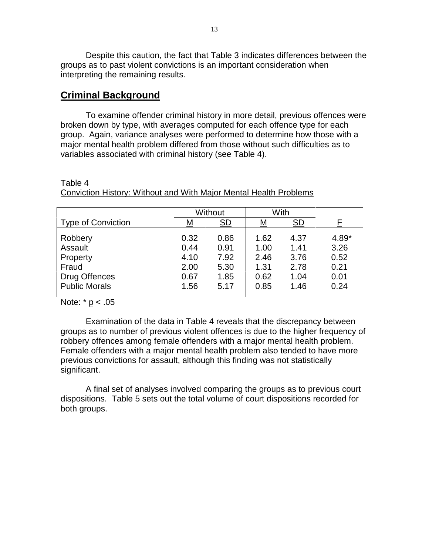Despite this caution, the fact that Table 3 indicates differences between the groups as to past violent convictions is an important consideration when interpreting the remaining results.

### **Criminal Background**

To examine offender criminal history in more detail, previous offences were broken down by type, with averages computed for each offence type for each group. Again, variance analyses were performed to determine how those with a major mental health problem differed from those without such difficulties as to variables associated with criminal history (see Table 4).

|                                                                                         | Without                                      |                                              | With                                         |                                              |                                               |
|-----------------------------------------------------------------------------------------|----------------------------------------------|----------------------------------------------|----------------------------------------------|----------------------------------------------|-----------------------------------------------|
| <b>Type of Conviction</b>                                                               | <u>М</u>                                     | SD                                           | <u>М</u>                                     | <b>SD</b>                                    |                                               |
| Robbery<br>Assault<br>Property<br>Fraud<br><b>Drug Offences</b><br><b>Public Morals</b> | 0.32<br>0.44<br>4.10<br>2.00<br>0.67<br>1.56 | 0.86<br>0.91<br>7.92<br>5.30<br>1.85<br>5.17 | 1.62<br>1.00<br>2.46<br>1.31<br>0.62<br>0.85 | 4.37<br>1.41<br>3.76<br>2.78<br>1.04<br>1.46 | 4.89*<br>3.26<br>0.52<br>0.21<br>0.01<br>0.24 |

Conviction History: Without and With Major Mental Health Problems

Note:  $* p < .05$ 

Table 4

Examination of the data in Table 4 reveals that the discrepancy between groups as to number of previous violent offences is due to the higher frequency of robbery offences among female offenders with a major mental health problem. Female offenders with a major mental health problem also tended to have more previous convictions for assault, although this finding was not statistically significant.

A final set of analyses involved comparing the groups as to previous court dispositions. Table 5 sets out the total volume of court dispositions recorded for both groups.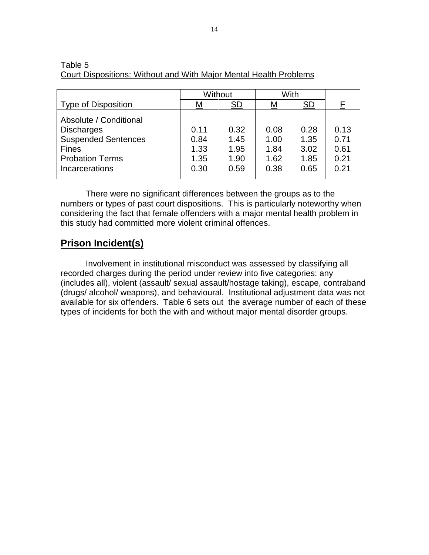|                                                                                                                                       | Without                              |                                      | With                                 |                                      |                                      |
|---------------------------------------------------------------------------------------------------------------------------------------|--------------------------------------|--------------------------------------|--------------------------------------|--------------------------------------|--------------------------------------|
| <b>Type of Disposition</b>                                                                                                            | M                                    | SD                                   | M                                    | SD                                   | F                                    |
| Absolute / Conditional<br><b>Discharges</b><br><b>Suspended Sentences</b><br><b>Fines</b><br><b>Probation Terms</b><br>Incarcerations | 0.11<br>0.84<br>1.33<br>1.35<br>0.30 | 0.32<br>1.45<br>1.95<br>1.90<br>0.59 | 0.08<br>1.00<br>1.84<br>1.62<br>0.38 | 0.28<br>1.35<br>3.02<br>1.85<br>0.65 | 0.13<br>0.71<br>0.61<br>0.21<br>0.21 |

#### Table 5 Court Dispositions: Without and With Major Mental Health Problems

There were no significant differences between the groups as to the numbers or types of past court dispositions. This is particularly noteworthy when considering the fact that female offenders with a major mental health problem in this study had committed more violent criminal offences.

## **Prison Incident(s)**

Involvement in institutional misconduct was assessed by classifying all recorded charges during the period under review into five categories: any (includes all), violent (assault/ sexual assault/hostage taking), escape, contraband (drugs/ alcohol/ weapons), and behavioural. Institutional adjustment data was not available for six offenders. Table 6 sets out the average number of each of these types of incidents for both the with and without major mental disorder groups.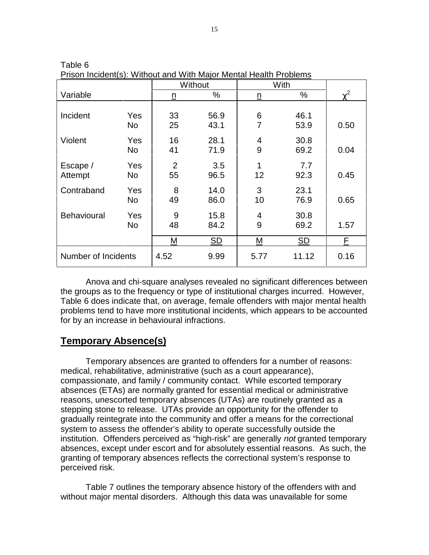|                     |           |                      | Without      |                     | With         |          |
|---------------------|-----------|----------------------|--------------|---------------------|--------------|----------|
| Variable            |           | $\underline{n}$      | %            | $\underline{n}$     | %            | $\chi^2$ |
| Incident            | Yes       | 33                   | 56.9         | 6                   | 46.1         |          |
| Violent             | No<br>Yes | 25<br>16             | 43.1<br>28.1 | $\overline{7}$<br>4 | 53.9<br>30.8 | 0.50     |
|                     | No        | 41                   | 71.9         | 9                   | 69.2         | 0.04     |
| Escape /<br>Attempt | Yes<br>No | $\overline{2}$<br>55 | 3.5<br>96.5  | 1<br>12             | 7.7<br>92.3  | 0.45     |
| Contraband          | Yes<br>No | 8<br>49              | 14.0<br>86.0 | 3<br>10             | 23.1<br>76.9 | 0.65     |
| <b>Behavioural</b>  | Yes<br>No | 9<br>48              | 15.8<br>84.2 | 4<br>9              | 30.8<br>69.2 | 1.57     |
|                     |           | M                    | SD           | М                   | SD           | E.       |
| Number of Incidents |           | 4.52                 | 9.99         | 5.77                | 11.12        | 0.16     |

Table 6 Prison Incident(s): Without and With Major Mental Health Problems

Anova and chi-square analyses revealed no significant differences between the groups as to the frequency or type of institutional charges incurred. However, Table 6 does indicate that, on average, female offenders with major mental health problems tend to have more institutional incidents, which appears to be accounted for by an increase in behavioural infractions.

### **Temporary Absence(s)**

Temporary absences are granted to offenders for a number of reasons: medical, rehabilitative, administrative (such as a court appearance), compassionate, and family / community contact. While escorted temporary absences (ETAs) are normally granted for essential medical or administrative reasons, unescorted temporary absences (UTAs) are routinely granted as a stepping stone to release. UTAs provide an opportunity for the offender to gradually reintegrate into the community and offer a means for the correctional system to assess the offender's ability to operate successfully outside the institution. Offenders perceived as "high-risk" are generally not granted temporary absences, except under escort and for absolutely essential reasons. As such, the granting of temporary absences reflects the correctional system's response to perceived risk.

Table 7 outlines the temporary absence history of the offenders with and without major mental disorders. Although this data was unavailable for some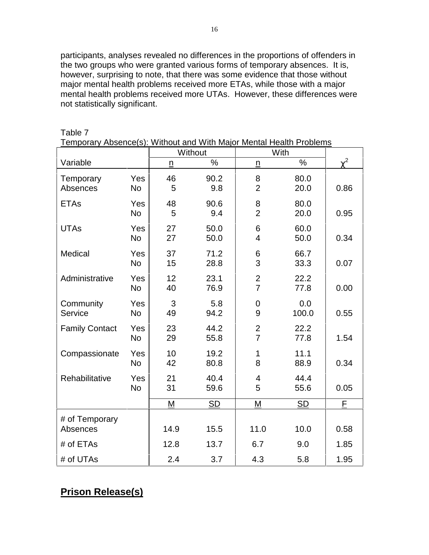participants, analyses revealed no differences in the proportions of offenders in the two groups who were granted various forms of temporary absences. It is, however, surprising to note, that there was some evidence that those without major mental health problems received more ETAs, while those with a major mental health problems received more UTAs. However, these differences were not statistically significant.

| Temporary Absence(s): Without and With Major Mental Health Problems |                  |                 |                           |                                  |                 |          |  |
|---------------------------------------------------------------------|------------------|-----------------|---------------------------|----------------------------------|-----------------|----------|--|
|                                                                     |                  |                 | Without                   | With                             |                 |          |  |
| Variable                                                            |                  | $\underline{n}$ | $\overline{\frac{8}{10}}$ | $\underline{n}$                  | $\overline{\%}$ | $\chi^2$ |  |
| Temporary<br>Absences                                               | Yes<br>No        | 46<br>5         | 90.2<br>9.8               | 8<br>$\overline{2}$              | 80.0<br>20.0    | 0.86     |  |
| <b>ETAs</b>                                                         | Yes<br><b>No</b> | 48<br>5         | 90.6<br>9.4               | 8<br>$\overline{2}$              | 80.0<br>20.0    | 0.95     |  |
| <b>UTAs</b>                                                         | Yes<br>No        | 27<br>27        | 50.0<br>50.0              | 6<br>$\overline{4}$              | 60.0<br>50.0    | 0.34     |  |
| Medical                                                             | Yes<br><b>No</b> | 37<br>15        | 71.2<br>28.8              | 6<br>3                           | 66.7<br>33.3    | 0.07     |  |
| Administrative                                                      | Yes<br>No        | 12<br>40        | 23.1<br>76.9              | $\overline{2}$<br>$\overline{7}$ | 22.2<br>77.8    | 0.00     |  |
| Community<br>Service                                                | Yes<br>No        | 3<br>49         | 5.8<br>94.2               | $\overline{0}$<br>9              | 0.0<br>100.0    | 0.55     |  |
| <b>Family Contact</b>                                               | Yes<br>No        | 23<br>29        | 44.2<br>55.8              | $\overline{2}$<br>$\overline{7}$ | 22.2<br>77.8    | 1.54     |  |
| Compassionate                                                       | Yes<br>No        | 10<br>42        | 19.2<br>80.8              | 1<br>8                           | 11.1<br>88.9    | 0.34     |  |
| Rehabilitative                                                      | Yes<br><b>No</b> | 21<br>31        | 40.4<br>59.6              | $\overline{4}$<br>5              | 44.4<br>55.6    | 0.05     |  |
|                                                                     |                  | M               | <b>SD</b>                 | M                                | <b>SD</b>       | F        |  |
| # of Temporary<br>Absences                                          |                  | 14.9            | 15.5                      | 11.0                             | 10.0            | 0.58     |  |
| # of ETAs                                                           |                  | 12.8            | 13.7                      | 6.7                              | 9.0             | 1.85     |  |
| # of UTAs                                                           |                  | 2.4             | 3.7                       | 4.3                              | 5.8             | 1.95     |  |

Table 7

# **Prison Release(s)**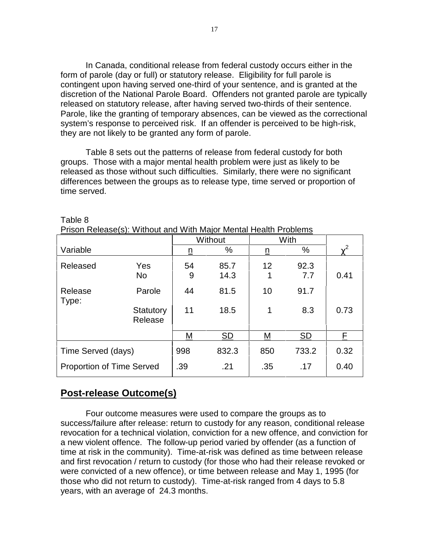In Canada, conditional release from federal custody occurs either in the form of parole (day or full) or statutory release. Eligibility for full parole is contingent upon having served one-third of your sentence, and is granted at the discretion of the National Parole Board. Offenders not granted parole are typically released on statutory release, after having served two-thirds of their sentence. Parole, like the granting of temporary absences, can be viewed as the correctional system's response to perceived risk. If an offender is perceived to be high-risk, they are not likely to be granted any form of parole.

Table 8 sets out the patterns of release from federal custody for both groups. Those with a major mental health problem were just as likely to be released as those without such difficulties. Similarly, there were no significant differences between the groups as to release type, time served or proportion of time served.

|                                  |                      |          | Without      |          | With        |            |
|----------------------------------|----------------------|----------|--------------|----------|-------------|------------|
| Variable                         |                      | <u>n</u> | %            | <u>n</u> | $\%$        | $\gamma^2$ |
| Released                         | Yes<br><b>No</b>     | 54<br>9  | 85.7<br>14.3 | 12<br>1  | 92.3<br>7.7 | 0.41       |
| Release<br>Type:                 | Parole               | 44       | 81.5         | 10       | 91.7        |            |
|                                  | Statutory<br>Release | 11       | 18.5         | 1        | 8.3         | 0.73       |
|                                  |                      | М        | <u>SD</u>    | M        | SD          | E.         |
| Time Served (days)               |                      | 998      | 832.3        | 850      | 733.2       | 0.32       |
| <b>Proportion of Time Served</b> |                      | .39      | .21          | .35      | .17         | 0.40       |

| Table 8                                                          |  |  |
|------------------------------------------------------------------|--|--|
| Prison Release(s): Without and With Major Mental Health Problems |  |  |

# **Post-release Outcome(s)**

Four outcome measures were used to compare the groups as to success/failure after release: return to custody for any reason, conditional release revocation for a technical violation, conviction for a new offence, and conviction for a new violent offence. The follow-up period varied by offender (as a function of time at risk in the community). Time-at-risk was defined as time between release and first revocation / return to custody (for those who had their release revoked or were convicted of a new offence), or time between release and May 1, 1995 (for those who did not return to custody). Time-at-risk ranged from 4 days to 5.8 years, with an average of 24.3 months.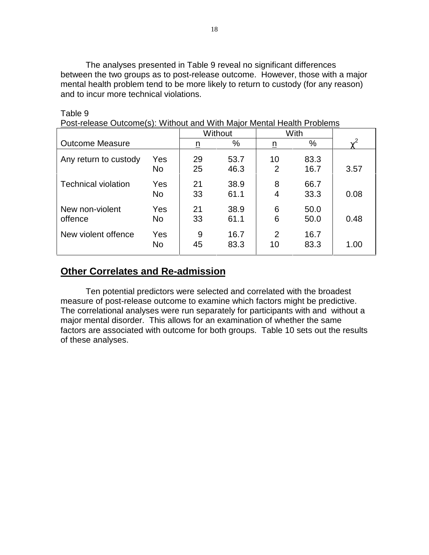The analyses presented in Table 9 reveal no significant differences between the two groups as to post-release outcome. However, those with a major mental health problem tend to be more likely to return to custody (for any reason) and to incur more technical violations.

|                            |                  | Without  |              | With                 |              |          |
|----------------------------|------------------|----------|--------------|----------------------|--------------|----------|
| <b>Outcome Measure</b>     |                  | <u>n</u> | %            | <u>n</u>             | $\%$         | $\chi^2$ |
| Any return to custody      | Yes<br>No        | 29<br>25 | 53.7<br>46.3 | 10<br>$\overline{2}$ | 83.3<br>16.7 | 3.57     |
| <b>Technical violation</b> | Yes<br><b>No</b> | 21<br>33 | 38.9<br>61.1 | 8<br>4               | 66.7<br>33.3 | 0.08     |
| New non-violent<br>offence | Yes<br><b>No</b> | 21<br>33 | 38.9<br>61.1 | 6<br>6               | 50.0<br>50.0 | 0.48     |
| New violent offence        | Yes<br><b>No</b> | 9<br>45  | 16.7<br>83.3 | 2<br>10              | 16.7<br>83.3 | 1.00     |

#### Table 9

Post-release Outcome(s): Without and With Major Mental Health Problems

### **Other Correlates and Re-admission**

Ten potential predictors were selected and correlated with the broadest measure of post-release outcome to examine which factors might be predictive. The correlational analyses were run separately for participants with and without a major mental disorder. This allows for an examination of whether the same factors are associated with outcome for both groups. Table 10 sets out the results of these analyses.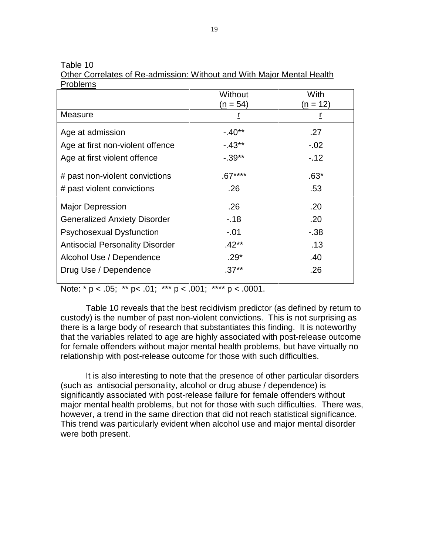Table 10

Other Correlates of Re-admission: Without and With Major Mental Health Problems

|                                        | Without<br>$(n = 54)$ | With<br>(n = 12) |
|----------------------------------------|-----------------------|------------------|
| <b>Measure</b>                         | r                     | r                |
| Age at admission                       | $-40**$               | .27              |
| Age at first non-violent offence       | $-43**$               | $-.02$           |
| Age at first violent offence           | $-.39**$              | $-12$            |
| # past non-violent convictions         | $.67***$              | $.63*$           |
| # past violent convictions             | .26                   | .53              |
| <b>Major Depression</b>                | .26                   | .20              |
| <b>Generalized Anxiety Disorder</b>    | $-.18$                | .20              |
| <b>Psychosexual Dysfunction</b>        | $-.01$                | $-38$            |
| <b>Antisocial Personality Disorder</b> | $.42**$               | .13              |
| Alcohol Use / Dependence               | $.29*$                | .40              |
| Drug Use / Dependence                  | $.37**$               | .26              |

Note: \*  $p < .05$ ; \*\*  $p < .01$ ; \*\*\*  $p < .001$ ; \*\*\*\*  $p < .0001$ .

Table 10 reveals that the best recidivism predictor (as defined by return to custody) is the number of past non-violent convictions. This is not surprising as there is a large body of research that substantiates this finding. It is noteworthy that the variables related to age are highly associated with post-release outcome for female offenders without major mental health problems, but have virtually no relationship with post-release outcome for those with such difficulties.

It is also interesting to note that the presence of other particular disorders (such as antisocial personality, alcohol or drug abuse / dependence) is significantly associated with post-release failure for female offenders without major mental health problems, but not for those with such difficulties. There was, however, a trend in the same direction that did not reach statistical significance. This trend was particularly evident when alcohol use and major mental disorder were both present.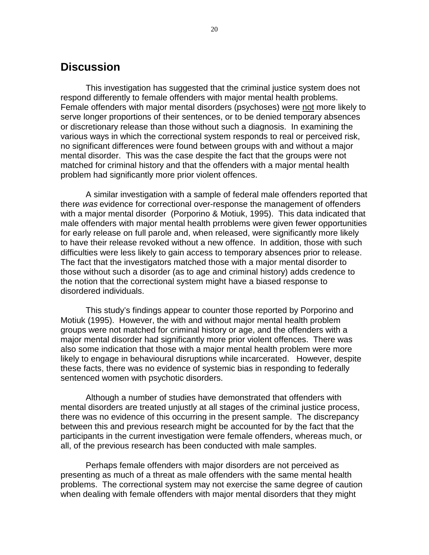## **Discussion**

This investigation has suggested that the criminal justice system does not respond differently to female offenders with major mental health problems. Female offenders with major mental disorders (psychoses) were not more likely to serve longer proportions of their sentences, or to be denied temporary absences or discretionary release than those without such a diagnosis. In examining the various ways in which the correctional system responds to real or perceived risk, no significant differences were found between groups with and without a major mental disorder. This was the case despite the fact that the groups were not matched for criminal history and that the offenders with a major mental health problem had significantly more prior violent offences.

A similar investigation with a sample of federal male offenders reported that there was evidence for correctional over-response the management of offenders with a major mental disorder (Porporino & Motiuk, 1995). This data indicated that male offenders with major mental health prroblems were given fewer opportunities for early release on full parole and, when released, were significantly more likely to have their release revoked without a new offence. In addition, those with such difficulties were less likely to gain access to temporary absences prior to release. The fact that the investigators matched those with a major mental disorder to those without such a disorder (as to age and criminal history) adds credence to the notion that the correctional system might have a biased response to disordered individuals.

This study's findings appear to counter those reported by Porporino and Motiuk (1995). However, the with and without major mental health problem groups were not matched for criminal history or age, and the offenders with a major mental disorder had significantly more prior violent offences. There was also some indication that those with a major mental health problem were more likely to engage in behavioural disruptions while incarcerated. However, despite these facts, there was no evidence of systemic bias in responding to federally sentenced women with psychotic disorders.

Although a number of studies have demonstrated that offenders with mental disorders are treated unjustly at all stages of the criminal justice process, there was no evidence of this occurring in the present sample. The discrepancy between this and previous research might be accounted for by the fact that the participants in the current investigation were female offenders, whereas much, or all, of the previous research has been conducted with male samples.

Perhaps female offenders with major disorders are not perceived as presenting as much of a threat as male offenders with the same mental health problems. The correctional system may not exercise the same degree of caution when dealing with female offenders with major mental disorders that they might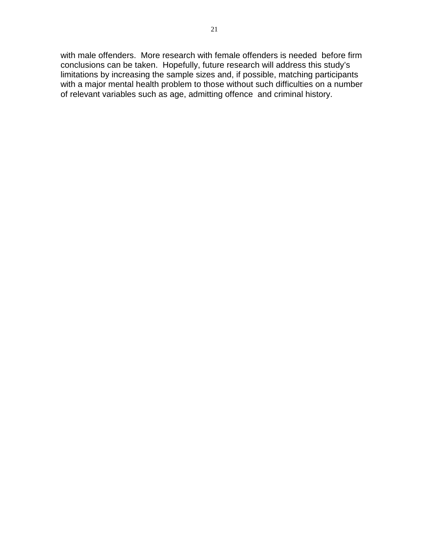with male offenders. More research with female offenders is needed before firm conclusions can be taken. Hopefully, future research will address this study's limitations by increasing the sample sizes and, if possible, matching participants with a major mental health problem to those without such difficulties on a number of relevant variables such as age, admitting offence and criminal history.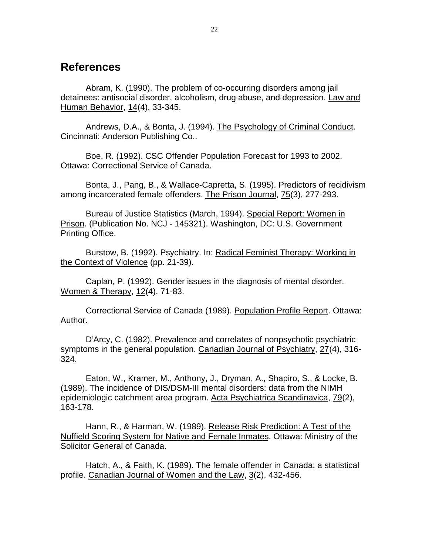## **References**

Abram, K. (1990). The problem of co-occurring disorders among jail detainees: antisocial disorder, alcoholism, drug abuse, and depression. Law and Human Behavior, 14(4), 33-345.

Andrews, D.A., & Bonta, J. (1994). The Psychology of Criminal Conduct. Cincinnati: Anderson Publishing Co..

Boe, R. (1992). CSC Offender Population Forecast for 1993 to 2002. Ottawa: Correctional Service of Canada.

Bonta, J., Pang, B., & Wallace-Capretta, S. (1995). Predictors of recidivism among incarcerated female offenders. The Prison Journal, 75(3), 277-293.

Bureau of Justice Statistics (March, 1994). Special Report: Women in Prison. (Publication No. NCJ - 145321). Washington, DC: U.S. Government Printing Office.

Burstow, B. (1992). Psychiatry. In: Radical Feminist Therapy: Working in the Context of Violence (pp. 21-39).

Caplan, P. (1992). Gender issues in the diagnosis of mental disorder. Women & Therapy, 12(4), 71-83.

Correctional Service of Canada (1989). Population Profile Report. Ottawa: Author.

D'Arcy, C. (1982). Prevalence and correlates of nonpsychotic psychiatric symptoms in the general population. Canadian Journal of Psychiatry, 27(4), 316- 324.

Eaton, W., Kramer, M., Anthony, J., Dryman, A., Shapiro, S., & Locke, B. (1989). The incidence of DIS/DSM-III mental disorders: data from the NIMH epidemiologic catchment area program. Acta Psychiatrica Scandinavica, 79(2), 163-178.

Hann, R., & Harman, W. (1989). Release Risk Prediction: A Test of the Nuffield Scoring System for Native and Female Inmates. Ottawa: Ministry of the Solicitor General of Canada.

Hatch, A., & Faith, K. (1989). The female offender in Canada: a statistical profile. Canadian Journal of Women and the Law, 3(2), 432-456.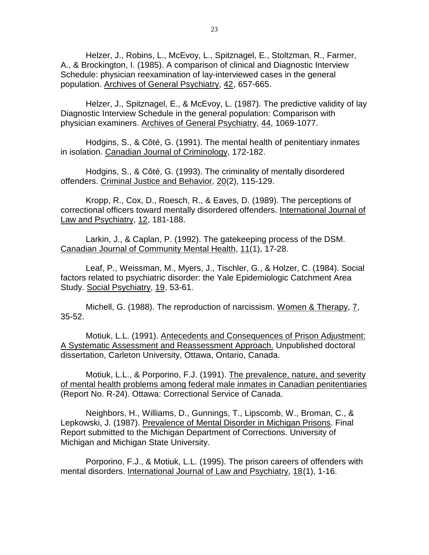Helzer, J., Robins, L., McEvoy, L., Spitznagel, E., Stoltzman, R., Farmer, A., & Brockington, I. (1985). A comparison of clinical and Diagnostic Interview Schedule: physician reexamination of lay-interviewed cases in the general population. Archives of General Psychiatry, 42, 657-665.

Helzer, J., Spitznagel, E., & McEvoy, L. (1987). The predictive validity of lay Diagnostic Interview Schedule in the general population: Comparison with physician examiners. Archives of General Psychiatry, 44, 1069-1077.

Hodgins, S., & Côté, G. (1991). The mental health of penitentiary inmates in isolation. Canadian Journal of Criminology, 172-182.

Hodgins, S., & Côté, G. (1993). The criminality of mentally disordered offenders. Criminal Justice and Behavior, 20(2), 115-129.

Kropp, R., Cox, D., Roesch, R., & Eaves, D. (1989). The perceptions of correctional officers toward mentally disordered offenders. International Journal of Law and Psychiatry, 12, 181-188.

Larkin, J., & Caplan, P. (1992). The gatekeeping process of the DSM. Canadian Journal of Community Mental Health, 11(1), 17-28.

Leaf, P., Weissman, M., Myers, J., Tischler, G., & Holzer, C. (1984). Social factors related to psychiatric disorder: the Yale Epidemiologic Catchment Area Study. Social Psychiatry, 19, 53-61.

Michell, G. (1988). The reproduction of narcissism. Women & Therapy, 7, 35-52.

Motiuk, L.L. (1991). Antecedents and Consequences of Prison Adjustment: A Systematic Assessment and Reassessment Approach. Unpublished doctoral dissertation, Carleton University, Ottawa, Ontario, Canada.

Motiuk, L.L., & Porporino, F.J. (1991). The prevalence, nature, and severity of mental health problems among federal male inmates in Canadian penitentiaries (Report No. R-24). Ottawa: Correctional Service of Canada.

Neighbors, H., Williams, D., Gunnings, T., Lipscomb, W., Broman, C., & Lepkowski, J. (1987). Prevalence of Mental Disorder in Michigan Prisons. Final Report submitted to the Michigan Department of Corrections. University of Michigan and Michigan State University.

Porporino, F.J., & Motiuk, L.L. (1995). The prison careers of offenders with mental disorders. International Journal of Law and Psychiatry, 18(1), 1-16.